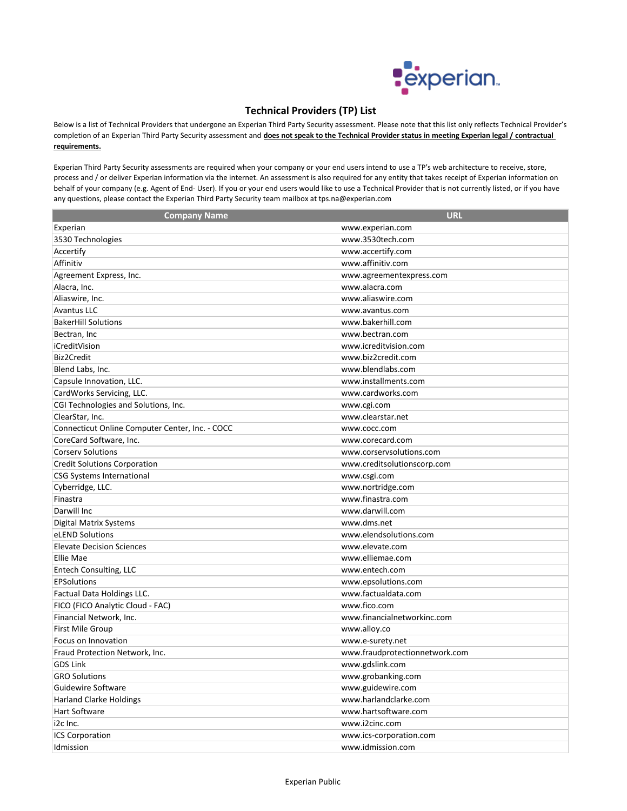

## **Technical Providers (TP) List**

Below is a list of Technical Providers that undergone an Experian Third Party Security assessment. Please note that this list only reflects Technical Provider's completion of an Experian Third Party Security assessment and **does not speak to the Technical Provider status in meeting Experian legal / contractual requirements.**

Experian Third Party Security assessments are required when your company or your end users intend to use a TP's web architecture to receive, store, process and / or deliver Experian information via the internet. An assessment is also required for any entity that takes receipt of Experian information on behalf of your company (e.g. Agent of End- User). If you or your end users would like to use a Technical Provider that is not currently listed, or if you have any questions, please contact the Experian Third Party Security team mailbox at tps.na@experian.com

| <b>Company Name</b>                             | <b>URL</b>                     |
|-------------------------------------------------|--------------------------------|
| Experian                                        | www.experian.com               |
| 3530 Technologies                               | www.3530tech.com               |
| Accertify                                       | www.accertify.com              |
| Affinitiv                                       | www.affinitiv.com              |
| Agreement Express, Inc.                         | www.agreementexpress.com       |
| Alacra, Inc.                                    | www.alacra.com                 |
| Aliaswire, Inc.                                 | www.aliaswire.com              |
| <b>Avantus LLC</b>                              | www.avantus.com                |
| <b>BakerHill Solutions</b>                      | www.bakerhill.com              |
| Bectran, Inc                                    | www.bectran.com                |
| iCreditVision                                   | www.icreditvision.com          |
| Biz2Credit                                      | www.biz2credit.com             |
| Blend Labs, Inc.                                | www.blendlabs.com              |
| Capsule Innovation, LLC.                        | www.installments.com           |
| CardWorks Servicing, LLC.                       | www.cardworks.com              |
| CGI Technologies and Solutions, Inc.            | www.cgi.com                    |
| ClearStar, Inc.                                 | www.clearstar.net              |
| Connecticut Online Computer Center, Inc. - COCC | www.cocc.com                   |
| CoreCard Software, Inc.                         | www.corecard.com               |
| <b>Corsery Solutions</b>                        | www.corservsolutions.com       |
| <b>Credit Solutions Corporation</b>             | www.creditsolutionscorp.com    |
| <b>CSG Systems International</b>                | www.csgi.com                   |
| Cyberridge, LLC.                                | www.nortridge.com              |
| Finastra                                        | www.finastra.com               |
| Darwill Inc                                     | www.darwill.com                |
| Digital Matrix Systems                          | www.dms.net                    |
| eLEND Solutions                                 | www.elendsolutions.com         |
| <b>Elevate Decision Sciences</b>                | www.elevate.com                |
| Ellie Mae                                       | www.elliemae.com               |
| Entech Consulting, LLC                          | www.entech.com                 |
| <b>EPSolutions</b>                              | www.epsolutions.com            |
| Factual Data Holdings LLC.                      | www.factualdata.com            |
| FICO (FICO Analytic Cloud - FAC)                | www.fico.com                   |
| Financial Network, Inc.                         | www.financialnetworkinc.com    |
| First Mile Group                                | www.alloy.co                   |
| Focus on Innovation                             | www.e-surety.net               |
| Fraud Protection Network, Inc.                  | www.fraudprotectionnetwork.com |
| <b>GDS Link</b>                                 | www.gdslink.com                |
| <b>GRO Solutions</b>                            | www.grobanking.com             |
| Guidewire Software                              | www.guidewire.com              |
| Harland Clarke Holdings                         | www.harlandclarke.com          |
| Hart Software                                   | www.hartsoftware.com           |
| i2c Inc.                                        | www.i2cinc.com                 |
| ICS Corporation                                 | www.ics-corporation.com        |
| Idmission                                       | www.idmission.com              |